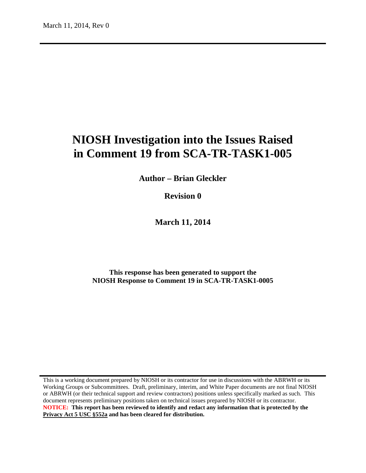# **NIOSH Investigation into the Issues Raised in Comment 19 from SCA-TR-TASK1-005**

**Author – Brian Gleckler**

**Revision 0**

**March 11, 2014**

**This response has been generated to support the NIOSH Response to Comment 19 in SCA-TR-TASK1-0005**

This is a working document prepared by NIOSH or its contractor for use in discussions with the ABRWH or its Working Groups or Subcommittees. Draft, preliminary, interim, and White Paper documents are not final NIOSH or ABRWH (or their technical support and review contractors) positions unless specifically marked as such. This document represents preliminary positions taken on technical issues prepared by NIOSH or its contractor. **NOTICE: This report has been reviewed to identify and redact any information that is protected by the Privacy Act 5 USC §552a and has been cleared for distribution.**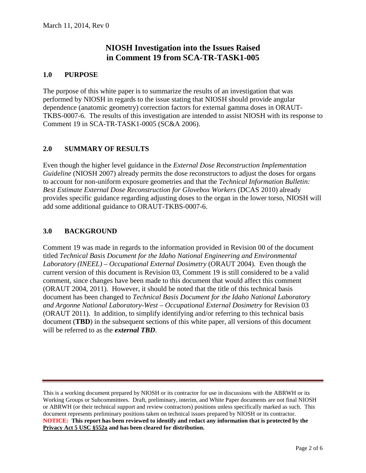# **NIOSH Investigation into the Issues Raised in Comment 19 from SCA-TR-TASK1-005**

### **1.0 PURPOSE**

The purpose of this white paper is to summarize the results of an investigation that was performed by NIOSH in regards to the issue stating that NIOSH should provide angular dependence (anatomic geometry) correction factors for external gamma doses in ORAUT-TKBS-0007-6. The results of this investigation are intended to assist NIOSH with its response to Comment 19 in SCA-TR-TASK1-0005 (SC&A 2006).

# **2.0 SUMMARY OF RESULTS**

Even though the higher level guidance in the *External Dose Reconstruction Implementation Guideline* (NIOSH 2007) already permits the dose reconstructors to adjust the doses for organs to account for non-uniform exposure geometries and that the *Technical Information Bulletin: Best Estimate External Dose Reconstruction for Glovebox Workers* (DCAS 2010) already provides specific guidance regarding adjusting doses to the organ in the lower torso, NIOSH will add some additional guidance to ORAUT-TKBS-0007-6.

#### **3.0 BACKGROUND**

Comment 19 was made in regards to the information provided in Revision 00 of the document titled *Technical Basis Document for the Idaho National Engineering and Environmental Laboratory (INEEL) – Occupational External Dosimetry* (ORAUT 2004). Even though the current version of this document is Revision 03, Comment 19 is still considered to be a valid comment, since changes have been made to this document that would affect this comment (ORAUT 2004, 2011). However, it should be noted that the title of this technical basis document has been changed to *Technical Basis Document for the Idaho National Laboratory and Argonne National Laboratory-West – Occupational External Dosimetry* for Revision 03 (ORAUT 2011). In addition, to simplify identifying and/or referring to this technical basis document (**TBD**) in the subsequent sections of this white paper, all versions of this document will be referred to as the *external TBD*.

This is a working document prepared by NIOSH or its contractor for use in discussions with the ABRWH or its Working Groups or Subcommittees. Draft, preliminary, interim, and White Paper documents are not final NIOSH or ABRWH (or their technical support and review contractors) positions unless specifically marked as such. This document represents preliminary positions taken on technical issues prepared by NIOSH or its contractor. **NOTICE: This report has been reviewed to identify and redact any information that is protected by the Privacy Act 5 USC §552a and has been cleared for distribution.**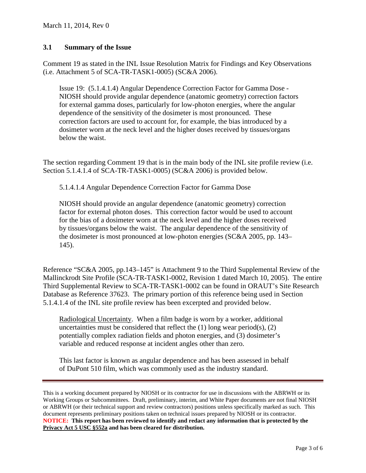### **3.1 Summary of the Issue**

Comment 19 as stated in the INL Issue Resolution Matrix for Findings and Key Observations (i.e. Attachment 5 of SCA-TR-TASK1-0005) (SC&A 2006).

Issue 19: (5.1.4.1.4) Angular Dependence Correction Factor for Gamma Dose - NIOSH should provide angular dependence (anatomic geometry) correction factors for external gamma doses, particularly for low-photon energies, where the angular dependence of the sensitivity of the dosimeter is most pronounced. These correction factors are used to account for, for example, the bias introduced by a dosimeter worn at the neck level and the higher doses received by tissues/organs below the waist.

The section regarding Comment 19 that is in the main body of the INL site profile review (i.e. Section 5.1.4.1.4 of SCA-TR-TASK1-0005) (SC&A 2006) is provided below.

5.1.4.1.4 Angular Dependence Correction Factor for Gamma Dose

NIOSH should provide an angular dependence (anatomic geometry) correction factor for external photon doses. This correction factor would be used to account for the bias of a dosimeter worn at the neck level and the higher doses received by tissues/organs below the waist. The angular dependence of the sensitivity of the dosimeter is most pronounced at low-photon energies (SC&A 2005, pp. 143– 145).

Reference "SC&A 2005, pp.143–145" is Attachment 9 to the Third Supplemental Review of the Mallinckrodt Site Profile (SCA-TR-TASK1-0002, Revision 1 dated March 10, 2005). The entire Third Supplemental Review to SCA-TR-TASK1-0002 can be found in ORAUT's Site Research Database as Reference 37623. The primary portion of this reference being used in Section 5.1.4.1.4 of the INL site profile review has been excerpted and provided below.

Radiological Uncertainty. When a film badge is worn by a worker, additional uncertainties must be considered that reflect the  $(1)$  long wear period(s),  $(2)$ potentially complex radiation fields and photon energies, and (3) dosimeter's variable and reduced response at incident angles other than zero.

This last factor is known as angular dependence and has been assessed in behalf of DuPont 510 film, which was commonly used as the industry standard.

This is a working document prepared by NIOSH or its contractor for use in discussions with the ABRWH or its Working Groups or Subcommittees. Draft, preliminary, interim, and White Paper documents are not final NIOSH or ABRWH (or their technical support and review contractors) positions unless specifically marked as such. This document represents preliminary positions taken on technical issues prepared by NIOSH or its contractor. **NOTICE: This report has been reviewed to identify and redact any information that is protected by the Privacy Act 5 USC §552a and has been cleared for distribution.**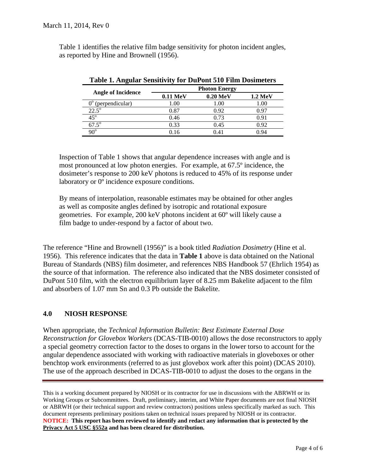Table 1 identifies the relative film badge sensitivity for photon incident angles, as reported by Hine and Brownell (1956).

| <b>Angle of Incidence</b>      | <b>Photon Energy</b> |                      |                |
|--------------------------------|----------------------|----------------------|----------------|
|                                | $0.11 \text{ MeV}$   | $0.20\ \mathrm{MeV}$ | <b>1.2 MeV</b> |
| $0^{\rm o}$<br>(perpendicular) | 00.1                 | 1.00                 | 00.1           |
| $22.5^{\circ}$                 | 0.87                 | 0.92                 | በ 97           |
| $45^\circ$                     | 0.46                 | 0.73                 | 0.91           |
| $67.5^\circ$                   | 0.33                 | 0.45                 | 0.92           |
| $90^\circ$                     | በ 16                 | በ 41                 | በ 94           |

|  | Table 1. Angular Sensitivity for DuPont 510 Film Dosimeters |
|--|-------------------------------------------------------------|
|--|-------------------------------------------------------------|

Inspection of Table 1 shows that angular dependence increases with angle and is most pronounced at low photon energies. For example, at 67.5º incidence, the dosimeter's response to 200 keV photons is reduced to 45% of its response under laboratory or 0º incidence exposure conditions.

By means of interpolation, reasonable estimates may be obtained for other angles as well as composite angles defined by isotropic and rotational exposure geometries. For example, 200 keV photons incident at 60º will likely cause a film badge to under-respond by a factor of about two.

The reference "Hine and Brownell (1956)" is a book titled *Radiation Dosimetry* (Hine et al. 1956). This reference indicates that the data in **Table 1** above is data obtained on the National Bureau of Standards (NBS) film dosimeter, and references NBS Handbook 57 (Ehrlich 1954) as the source of that information. The reference also indicated that the NBS dosimeter consisted of DuPont 510 film, with the electron equilibrium layer of 8.25 mm Bakelite adjacent to the film and absorbers of 1.07 mm Sn and 0.3 Pb outside the Bakelite.

# **4.0 NIOSH RESPONSE**

When appropriate, the *Technical Information Bulletin: Best Estimate External Dose Reconstruction for Glovebox Workers* (DCAS-TIB-0010) allows the dose reconstructors to apply a special geometry correction factor to the doses to organs in the lower torso to account for the angular dependence associated with working with radioactive materials in gloveboxes or other benchtop work environments (referred to as just glovebox work after this point) (DCAS 2010). The use of the approach described in DCAS-TIB-0010 to adjust the doses to the organs in the

This is a working document prepared by NIOSH or its contractor for use in discussions with the ABRWH or its Working Groups or Subcommittees. Draft, preliminary, interim, and White Paper documents are not final NIOSH or ABRWH (or their technical support and review contractors) positions unless specifically marked as such. This document represents preliminary positions taken on technical issues prepared by NIOSH or its contractor. **NOTICE: This report has been reviewed to identify and redact any information that is protected by the Privacy Act 5 USC §552a and has been cleared for distribution.**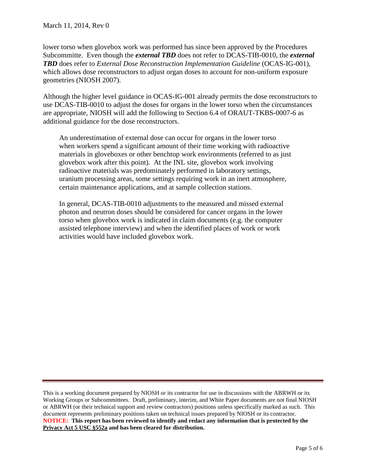lower torso when glovebox work was performed has since been approved by the Procedures Subcommitte. Even though the *external TBD* does not refer to DCAS-TIB-0010, the *external TBD* does refer to *External Dose Reconstruction Implementation Guideline* (OCAS-IG-001), which allows dose reconstructors to adjust organ doses to account for non-uniform exposure geometries (NIOSH 2007).

Although the higher level guidance in OCAS-IG-001 already permits the dose reconstructors to use DCAS-TIB-0010 to adjust the doses for organs in the lower torso when the circumstances are appropriate, NIOSH will add the following to Section 6.4 of ORAUT-TKBS-0007-6 as additional guidance for the dose reconstructors.

An underestimation of external dose can occur for organs in the lower torso when workers spend a significant amount of their time working with radioactive materials in gloveboxes or other benchtop work environments (referred to as just glovebox work after this point). At the INL site, glovebox work involving radioactive materials was predominately performed in laboratory settings, uranium processing areas, some settings requiring work in an inert atmosphere, certain maintenance applications, and at sample collection stations.

In general, DCAS-TIB-0010 adjustments to the measured and missed external photon and neutron doses should be considered for cancer organs in the lower torso when glovebox work is indicated in claim documents (e.g. the computer assisted telephone interview) and when the identified places of work or work activities would have included glovebox work.

This is a working document prepared by NIOSH or its contractor for use in discussions with the ABRWH or its Working Groups or Subcommittees. Draft, preliminary, interim, and White Paper documents are not final NIOSH or ABRWH (or their technical support and review contractors) positions unless specifically marked as such. This document represents preliminary positions taken on technical issues prepared by NIOSH or its contractor. **NOTICE: This report has been reviewed to identify and redact any information that is protected by the Privacy Act 5 USC §552a and has been cleared for distribution.**